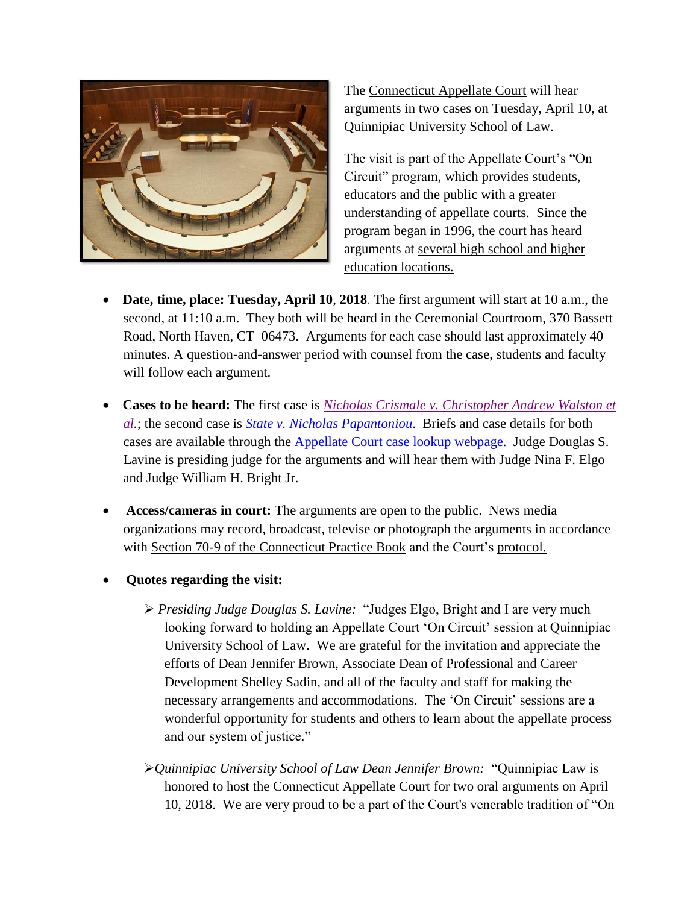

The [Connecticut Appellate Court](http://www.jud.ct.gov/appellatecourt/default.htm) will hear arguments in two cases on Tuesday, April 10, at [Quinnipiac University School of Law.](https://www.qu.edu/academics/colleges-schools-and-departments/school-of-law/)

The visit is part of the Appellate Court's ["On](http://www.jud.ct.gov/external/supapp/Circuit/app/default.htm)  [Circuit" program,](http://www.jud.ct.gov/external/supapp/Circuit/app/default.htm) which provides students, educators and the public with a greater understanding of appellate courts. Since the program began in 1996, the court has heard arguments at [several high school and higher](http://www.jud.ct.gov/external/supapp/Circuit/app/app_dates.htm)  [education locations.](http://www.jud.ct.gov/external/supapp/Circuit/app/app_dates.htm)

- **Date, time, place: Tuesday, April 10**, **2018**. The first argument will start at 10 a.m., the second, at 11:10 a.m. They both will be heard in the Ceremonial Courtroom, 370 Bassett Road, North Haven, CT 06473. Arguments for each case should last approximately 40 minutes. A question-and-answer period with counsel from the case, students and faculty will follow each argument.
- **Cases to be heard:** The first case is *[Nicholas Crismale v. Christopher Andrew Walston et](https://jud.ct.gov/external/supapp/Summaries/Crismale_Walston.pdf)  [al.](https://jud.ct.gov/external/supapp/Summaries/Crismale_Walston.pdf)*; the second case is *[State v. Nicholas Papantoniou](https://jud.ct.gov/external/supapp/Summaries/Papantoniou_summary.pdf)*. Briefs and case details for both cases are available through the [Appellate Court case lookup](http://appellateinquiry.jud.ct.gov/AppealNoInq.aspx) webpage. Judge Douglas S. Lavine is presiding judge for the arguments and will hear them with Judge Nina F. Elgo and Judge William H. Bright Jr.
- **Access/cameras in court:** The arguments are open to the public. News media organizations may record, broadcast, televise or photograph the arguments in accordance with [Section 70-9 of the Connecticut Practice Book](http://jud.ct.gov/pb.htm) and the Court's [protocol.](http://www.jud.ct.gov/external/supapp/protocol_ap_oral_argu.htm)
- **Quotes regarding the visit:** 
	- *Presiding Judge Douglas S. Lavine:* "Judges Elgo, Bright and I are very much looking forward to holding an Appellate Court 'On Circuit' session at Quinnipiac University School of Law. We are grateful for the invitation and appreciate the efforts of Dean Jennifer Brown, Associate Dean of Professional and Career Development Shelley Sadin, and all of the faculty and staff for making the necessary arrangements and accommodations. The 'On Circuit' sessions are a wonderful opportunity for students and others to learn about the appellate process and our system of justice."
	- *Quinnipiac University School of Law Dean Jennifer Brown:* "Quinnipiac Law is honored to host the Connecticut Appellate Court for two oral arguments on April 10, 2018. We are very proud to be a part of the Court's venerable tradition of "On